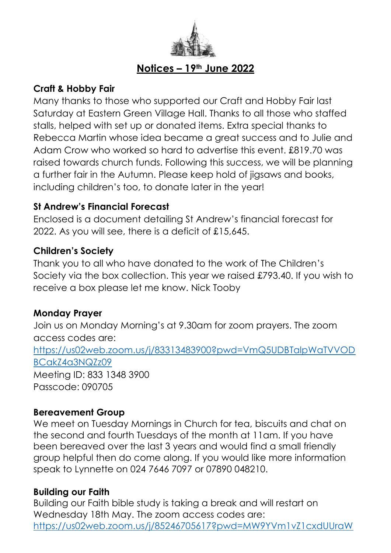

## **Notices – 19th June 2022**

## **Craft & Hobby Fair**

Many thanks to those who supported our Craft and Hobby Fair last Saturday at Eastern Green Village Hall. Thanks to all those who staffed stalls, helped with set up or donated items. Extra special thanks to Rebecca Martin whose idea became a great success and to Julie and Adam Crow who worked so hard to advertise this event. £819.70 was raised towards church funds. Following this success, we will be planning a further fair in the Autumn. Please keep hold of jigsaws and books, including children's too, to donate later in the year!

## **St Andrew's Financial Forecast**

Enclosed is a document detailing St Andrew's financial forecast for 2022. As you will see, there is a deficit of £15,645.

### **Children's Society**

Thank you to all who have donated to the work of The Children's Society via the box collection. This year we raised £793.40. If you wish to receive a box please let me know. Nick Tooby

## **Monday Prayer**

Join us on Monday Morning's at 9.30am for zoom prayers. The zoom access codes are: [https://us02web.zoom.us/j/83313483900?pwd=VmQ5UDBTalpWaTVVOD](https://us02web.zoom.us/j/83313483900?pwd=VmQ5UDBTalpWaTVVODBCakZ4a3NQZz09) [BCakZ4a3NQZz09](https://us02web.zoom.us/j/83313483900?pwd=VmQ5UDBTalpWaTVVODBCakZ4a3NQZz09) Meeting ID: 833 1348 3900 Passcode: 090705

### **Bereavement Group**

We meet on Tuesday Mornings in Church for tea, biscuits and chat on the second and fourth Tuesdays of the month at 11am. If you have been bereaved over the last 3 years and would find a small friendly group helpful then do come along. If you would like more information speak to Lynnette on 024 7646 7097 or 07890 048210.

### **Building our Faith**

Building our Faith bible study is taking a break and will restart on Wednesday 18th May. The zoom access codes are: [https://us02web.zoom.us/j/85246705617?pwd=MW9YVm1vZ1cxdUUraW](https://us02web.zoom.us/j/85246705617?pwd=MW9YVm1vZ1cxdUUraWdXYU9GTEUwdz09)